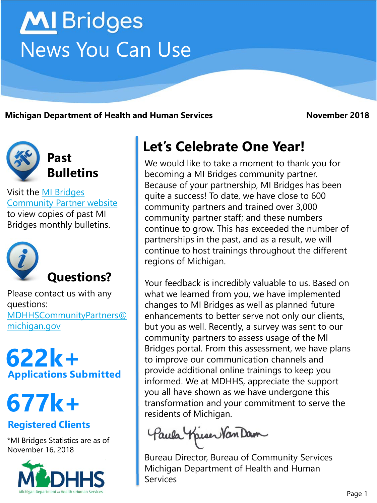# **MI** Bridges News You Can Use

**Michigan Department of Health and Human Services <b>November 2018** 



Visit the MI Bridges [Community Partner website](http://www.michigan.gov/mdhhs/0,5885,7-339-71551_82637---,00.html) to view copies of past MI Bridges monthly bulletins.



Please contact us with any questions: [MDHHSCommunityPartners@](mailto:MDHHSCommunityPartners@michigan.gov) [michigan.gov](mailto:MDHHSCommunityPartners@michigan.gov)

**Applications Submitted 622k+**

**677k+**

#### **Registered Clients**

\*MI Bridges Statistics are as of November 16, 2018



## **Let's Celebrate One Year!**

We would like to take a moment to thank you for becoming a MI Bridges community partner. Because of your partnership, MI Bridges has been quite a success! To date, we have close to 600 community partners and trained over 3,000 community partner staff; and these numbers continue to grow. This has exceeded the number of partnerships in the past, and as a result, we will continue to host trainings throughout the different regions of Michigan.

Your feedback is incredibly valuable to us. Based on what we learned from you, we have implemented changes to MI Bridges as well as planned future enhancements to better serve not only our clients, but you as well. Recently, a survey was sent to our community partners to assess usage of the MI Bridges portal. From this assessment, we have plans to improve our communication channels and provide additional online trainings to keep you informed. We at MDHHS, appreciate the support you all have shown as we have undergone this transformation and your commitment to serve the residents of Michigan.

Paula Kriser Van Dam

Bureau Director, Bureau of Community Services Michigan Department of Health and Human Services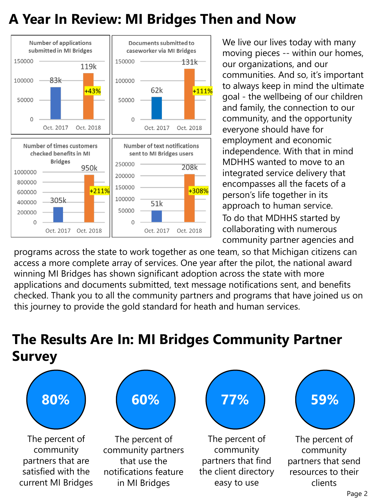### **A Year In Review: MI Bridges Then and Now**



We live our lives today with many moving pieces -- within our homes, our organizations, and our communities. And so, it's important to always keep in mind the ultimate goal - the wellbeing of our children and family, the connection to our community, and the opportunity everyone should have for employment and economic independence. With that in mind MDHHS wanted to move to an integrated service delivery that encompasses all the facets of a person's life together in its approach to human service. To do that MDHHS started by collaborating with numerous community partner agencies and

programs across the state to work together as one team, so that Michigan citizens can access a more complete array of services. One year after the pilot, the national award winning MI Bridges has shown significant adoption across the state with more applications and documents submitted, text message notifications sent, and benefits checked. Thank you to all the community partners and programs that have joined us on this journey to provide the gold standard for heath and human services.

## **The Results Are In: MI Bridges Community Partner Survey**